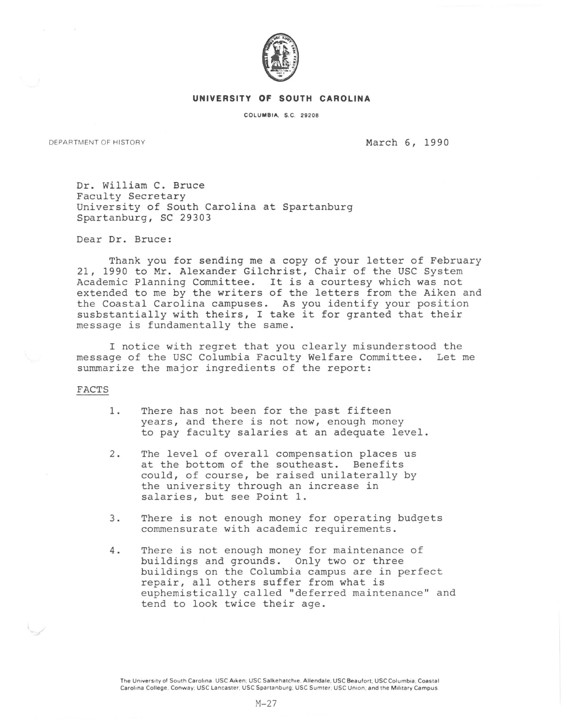

## **UNIVERSITY OF SOUTH CAROLINA**

COLUMBIA, S.C. 29208

DEPARTMENT OF HISTORY **March 6, 1990** 

Dr. William C. Bruce Faculty Secretary University of South Carolina at Spartanburg Spartanburg, SC 29303

Dear Dr. Bruce:

Thank you for sending me a copy of your letter of February 21, 1990 to Mr. Alexander Gilchrist, Chair of the USC System Academic Planning Committee. It is a courtesy which was not extended to me by the writers of the letters from the Aiken and the Coastal Carolina campuses. As you identify your position susbstantially with theirs, I take it for granted that their message is fundamentally the same.

I notice with regret that you clearly misunderstood the message of the USC Columbia Faculty Welfare Committee. Let me summarize the major ingredients of the report:

## FACTS

- 1. There has not been for the past fifteen years, and there is not now, enough money to pay faculty salaries at an adequate level.
- 2. The level of overall compensation places us at the bottom of the southeast. Benefits could, of course, be raised unilaterally by the university through an increase in salaries, but see Point 1.
- 3. There is not enough money for operating budgets commensurate with academic requirements.
- 4. There is not enough money for maintenance of buildings and grounds. Only two or three buildings on the Columbia campus are in perfect repair, all others suffer from what is euphemistically called "deferred maintenance'' and tend to look twice their age.

The University of South Carolina: USC Aiken; USC Salkehatchie, Allendale; USC Beaufort; USC Columbia; Coastal Carolina College, Conway: USC Lancaster; USC Spartanburg; USC Sumter; USC Union; and the Military Campus.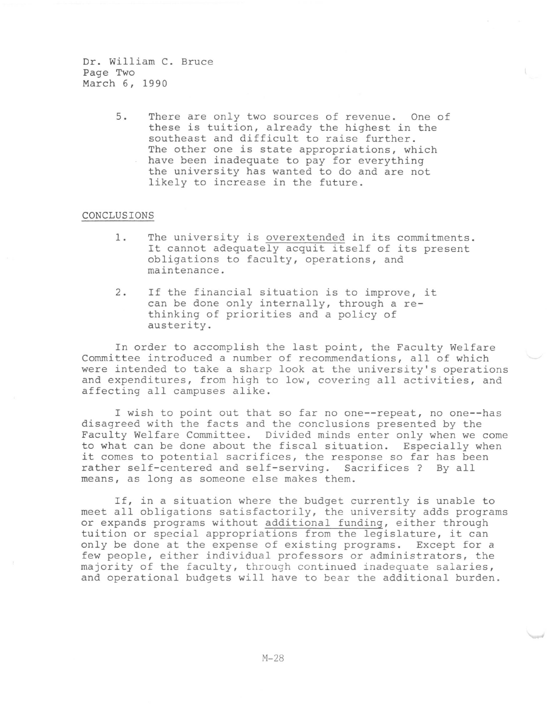Dr. William C. Bruce Page Two March 6, 1990

> 5. There are only two sources of revenue. One of these is tuition, already the highest in the southeast and difficult to raise further. The other one is state appropriations, which have been inadequate to pay for everything the university has wanted to do and are not likely to increase in the future.

## CONCLUSIONS

- 1. The university is overextended in its commitments. It cannot adequately acquit itself of its present obligations to faculty, operations, and maintenance.
- 2. If the financial situation is to improve, it can be done only internally, through a rethinking of priorities and a policy of austerity.

In order to accomplish the last point, the Faculty Welfare Committee introduced a number of recommendations, all of which were intended to take a sharp look at the university's operations and expenditures, from high to low, covering all activities, and affecting all campuses alike.

I wish to point out that so far no one--repeat, no one--has disagreed with the facts and the conclusions presented by the Faculty Welfare Committee. Divided minds enter only when we come to what can be done about the fiscal situation. Especially when it comes to potential sacrifices, the response so far has been rather self-centered and self-serving. Sacrifices ? By all means, as long as someone else makes them.

If, in a situation where the budget currently is unable to meet all obligations satisfactorily, the university adds programs or expands programs without additional funding, either through tuition or special appropriations from the legislature, it can only be done at the expense of existing programs. Except for a few people, either individual professors or administrators, the majority of the faculty, through continued inadequate salaries, and operational budgets will have to bear the additional burden.